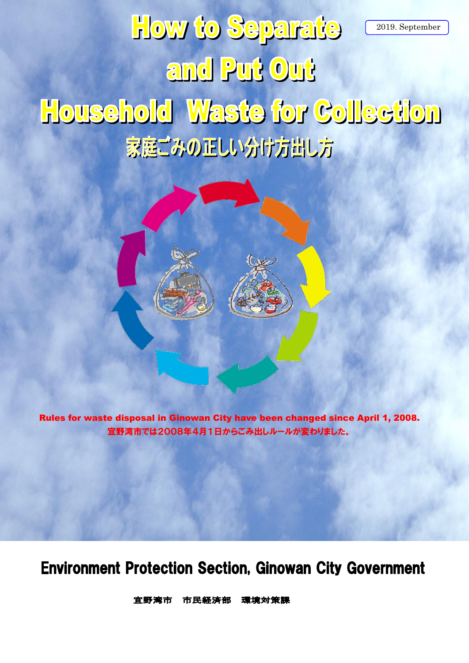# **How to Separate** 2019. Septemberand Put Out **Household Waste for Collection** 家庭ごみの正しい分け方出し方



Rules for waste disposal in Ginowan City have been changed since April 1, 2008. 宜野湾市では2008年4月1日からごみ出しルールが変わりました。

### **Environment Protection Section, Ginowan City Government**

市民経済部 官野湾市 環境対策課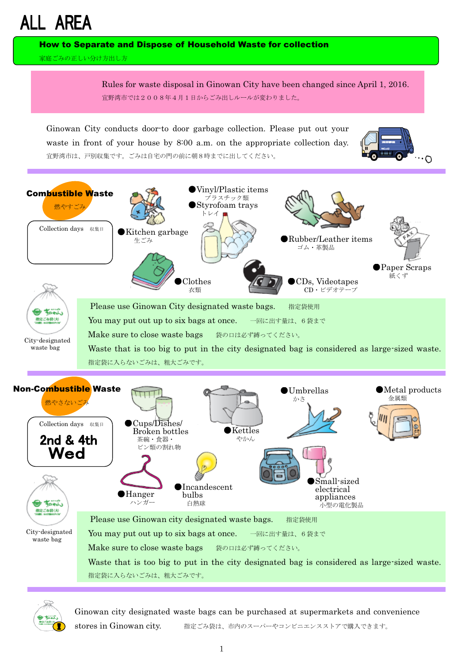## **ALL AREA**

How to Separate and Dispose of Household Waste for collection

家庭ごみの正しい分け方出し方

Rules for waste disposal in Ginowan City have been changed since April 1, 2016. 宜野湾市では2008年4月1日からごみ出しルールが変わりました。

Ginowan City conducts door-to door garbage collection. Please put out your waste in front of your house by 8:00 a.m. on the appropriate collection day. 宜野湾市は、戸別収集です。ごみは自宅の門の前に朝8時までに出してください。







Ginowan city designated waste bags can be purchased at supermarkets and convenience stores in Ginowan city. 指定ごみ袋は、市内のスーパーやコンビニエンスストアで購入できます。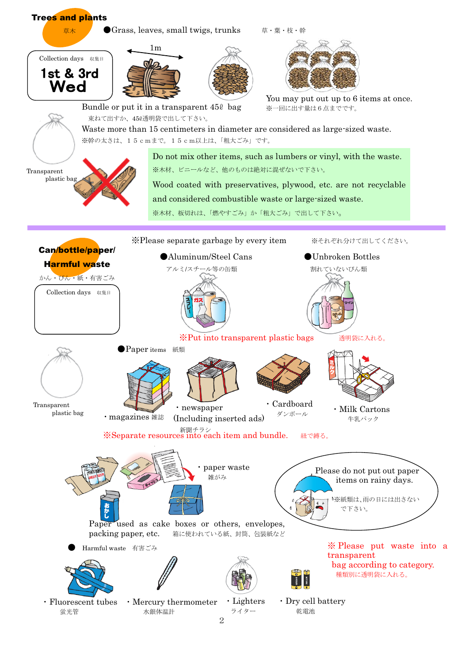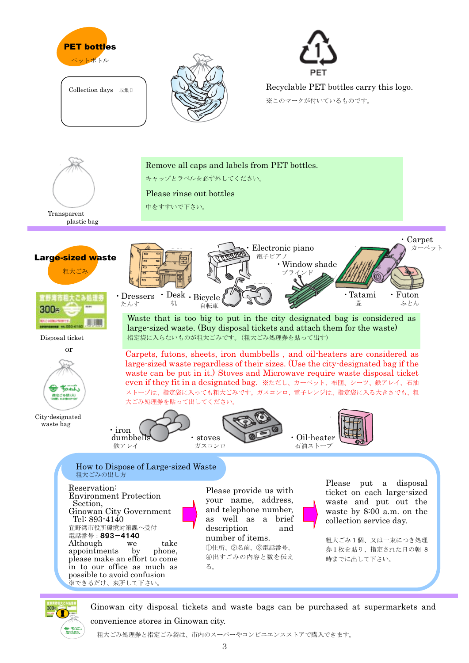

Collection days 収集日



キャップとラベルを必ず外してください。

Please rinse out bottles

Remove all caps and labels from PET bottles.



Recyclable PET bottles carry this logo.

※このマークが付いているものです。









City-designated waste bag



・iron dumbbells 鉄アレイ ・stoves ガスコンロ ・Oil-heater 石油ストーブ 大ごみ処理券を貼って出してください。

ストーブは、指定袋に入っても粗大ごみです。ガスコンロ、電子レンジは、指定袋に入る大きさでも、粗

#### How to Dispose of Large-sized Waste 粗大ごみの出し方

Reservation: Environment Protection Section, Ginowan City Government Tel: 893-4140 宜野湾市役所環境対策課へ受付 電話番号:893-4140 Although we take<br>appointments by phone. appointments by please make an effort to come in to our office as much as possible to avoid confusion ※できるだけ、来所して下さい。

Please provide us with your name, address, and telephone number, as well as a brief description and number of items. ①住所、②名前、③電話番号、 ④出すごみの内容と数を伝え る。

Please put a disposal ticket on each large-sized waste and put out the waste by 8:00 a.m. on the collection service day.

粗大ごみ1個、又は一束につき処理 券1枚を貼り、指定された日の朝 8 時までに出して下さい。



Ginowan city disposal tickets and waste bags can be purchased at supermarkets and convenience stores in Ginowan city.

粗大ごみ処理券と指定ごみ袋は、市内のスーパーやコンビニエンスストアで購入できます。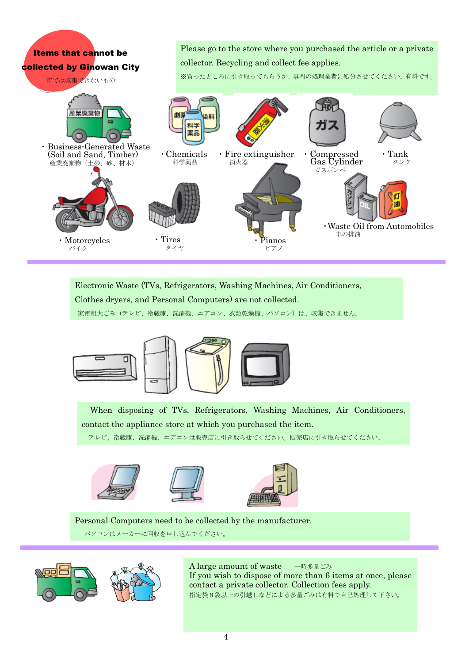#### Please go to the store where you purchased the article or a private Items that cannot be collector. Recycling and collect fee applies. collected by Ginowan City ※買ったところに引き取ってもらうか、専門の処理業者に処分させてください。有料です。 市では収集できないもの 産業廃棄物 科学 נמ 寧島 ・Business-Generated Waste ・Chemicals ・Fire extinguisher・Compressed ・Tank(Soil and Sand, Timber) 消火器 Gas Cylinder 科学薬品 タンク 産業廃棄物(土砂、砂、材木) ガスボンベ ・Waste Oil from Automobiles 車の排油 ・Tires**Motorcycles** ・Pianos タイヤ バイク ピアノ

Electronic Waste (TVs, Refrigerators, Washing Machines, Air Conditioners, Clothes dryers, and Personal Computers) are not collected.

家電粗大ごみ(テレビ、冷蔵庫、洗濯機、エアコン、衣類乾燥機、パソコン)は、収集できません。







 When disposing of TVs, Refrigerators, Washing Machines, Air Conditioners, contact the appliance store at which you purchased the item.

テレビ、冷蔵庫、洗濯機、エアコンは販売店に引き取らせてください。販売店に引き取らせてください。







Personal Computers need to be collected by the manufacturer.

パソコンはメーカーに回収を申し込んでください。



A large amount of waste 一時多量ごみ If you wish to dispose of more than 6 items at once, please contact a private collector. Collection fees apply. 指定袋6袋以上の引越しなどによる多量ごみは有料で自己処理して下さい。